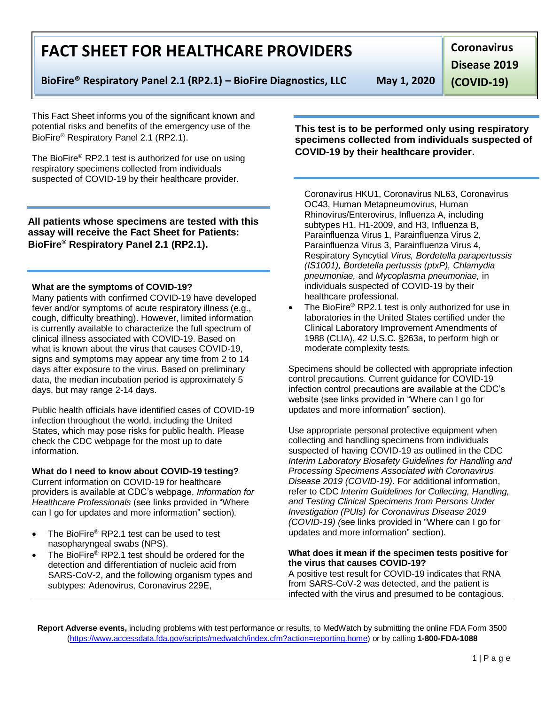**Report Adverse events,** including problems with test performance or results, to MedWatch by submitting the online FDA Form 3500 [\(https://www.accessdata.fda.gov/scripts/medwatch/index.cfm?action=reporting.home\)](https://www.accessdata.fda.gov/scripts/medwatch/index.cfm?action=reporting.home) or by calling **1-800-FDA-1088**

# **FACT SHEET FOR HEALTHCARE PROVIDERS**

**BioFire® Respiratory Panel 2.1 (RP2.1) – BioFire Diagnostics, LLC May 1, 2020**

**Coronavirus** 

**Disease 2019** 

**(COVID-19)**

This Fact Sheet informs you of the significant known and potential risks and benefits of the emergency use of the BioFire® Respiratory Panel 2.1 (RP2.1).

The BioFire® RP2.1 test is authorized for use on using respiratory specimens collected from individuals suspected of COVID-19 by their healthcare provider.

# **All patients whose specimens are tested with this assay will receive the Fact Sheet for Patients: BioFire® Respiratory Panel 2.1 (RP2.1).**

### **What are the symptoms of COVID-19?**

Many patients with confirmed COVID-19 have developed fever and/or symptoms of acute respiratory illness (e.g., cough, difficulty breathing). However, limited information is currently available to characterize the full spectrum of clinical illness associated with COVID-19. Based on what is known about the virus that causes COVID-19, signs and symptoms may appear any time from 2 to 14 days after exposure to the virus. Based on preliminary data, the median incubation period is approximately 5 days, but may range 2-14 days.

Public health officials have identified cases of COVID-19 infection throughout the world, including the United States, which may pose risks for public health. Please check the CDC webpage for the most up to date information.

# **What do I need to know about COVID-19 testing?**

Current information on COVID-19 for healthcare providers is available at CDC's webpage, *Information for Healthcare Professionals* (see links provided in "Where can I go for updates and more information" section).

- The BioFire® RP2.1 test can be used to test nasopharyngeal swabs (NPS).
- The BioFire® RP2.1 test should be ordered for the detection and differentiation of nucleic acid from SARS-CoV-2, and the following organism types and subtypes: Adenovirus, Coronavirus 229E,

OC43, Human Metapneumovirus, Human Rhinovirus/Enterovirus, Influenza A, including subtypes H1, H1-2009, and H3, Influenza B, Parainfluenza Virus 1, Parainfluenza Virus 2, Parainfluenza Virus 3, Parainfluenza Virus 4, Respiratory Syncytial *Virus, Bordetella parapertussis (IS1001), Bordetella pertussis (ptxP), Chlamydia pneumoniae,* and *Mycoplasma pneumoniae,* in individuals suspected of COVID-19 by their healthcare professional.

 The BioFire® RP2.1 test is only authorized for use in laboratories in the United States certified under the Clinical Laboratory Improvement Amendments of 1988 (CLIA), 42 U.S.C. §263a, to perform high or moderate complexity tests.

Specimens should be collected with appropriate infection control precautions. Current guidance for COVID-19 infection control precautions are available at the CDC's website (see links provided in "Where can I go for updates and more information" section).

Use appropriate personal protective equipment when collecting and handling specimens from individuals suspected of having COVID-19 as outlined in the CDC *Interim Laboratory Biosafety Guidelines for Handling and Processing Specimens Associated with Coronavirus Disease 2019 (COVID-19)*. For additional information, refer to CDC *Interim Guidelines for Collecting, Handling, and Testing Clinical Specimens from Persons Under Investigation (PUIs) for Coronavirus Disease 2019 (COVID-19) (*see links provided in "Where can I go for updates and more information" section).

### **What does it mean if the specimen tests positive for the virus that causes COVID-19?**

A positive test result for COVID-19 indicates that RNA from SARS-CoV-2 was detected, and the patient is infected with the virus and presumed to be contagious.

Coronavirus HKU1, Coronavirus NL63, Coronavirus

**This test is to be performed only using respiratory specimens collected from individuals suspected of COVID-19 by their healthcare provider.**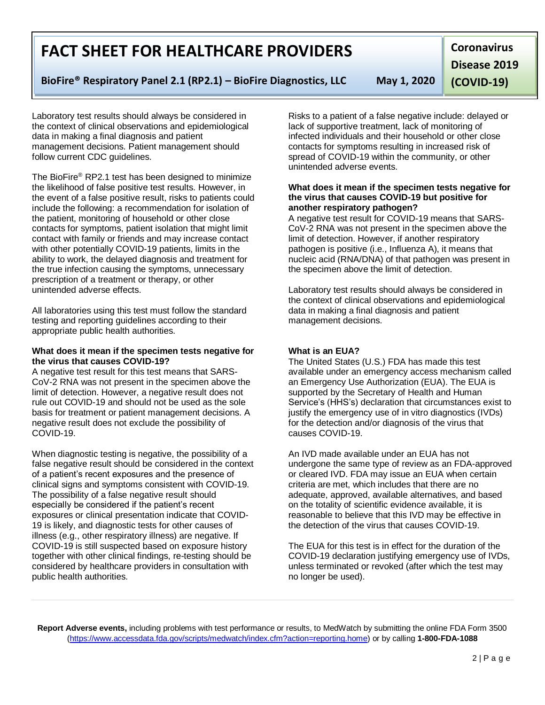**Report Adverse events,** including problems with test performance or results, to MedWatch by submitting the online FDA Form 3500 [\(https://www.accessdata.fda.gov/scripts/medwatch/index.cfm?action=reporting.home\)](https://www.accessdata.fda.gov/scripts/medwatch/index.cfm?action=reporting.home) or by calling **1-800-FDA-1088**

# **FACT SHEET FOR HEALTHCARE PROVIDERS**

# **BioFire® Respiratory Panel 2.1 (RP2.1) – BioFire Diagnostics, LLC May 1, 2020**

**Coronavirus Disease 2019** 

**(COVID-19)**

Laboratory test results should always be considered in the context of clinical observations and epidemiological data in making a final diagnosis and patient management decisions. Patient management should follow current CDC guidelines.

The BioFire® RP2.1 test has been designed to minimize the likelihood of false positive test results. However, in the event of a false positive result, risks to patients could include the following: a recommendation for isolation of the patient, monitoring of household or other close contacts for symptoms, patient isolation that might limit contact with family or friends and may increase contact with other potentially COVID-19 patients, limits in the ability to work, the delayed diagnosis and treatment for the true infection causing the symptoms, unnecessary prescription of a treatment or therapy, or other unintended adverse effects.

All laboratories using this test must follow the standard testing and reporting guidelines according to their appropriate public health authorities.

#### **What does it mean if the specimen tests negative for the virus that causes COVID-19?**

A negative test result for this test means that SARS-CoV-2 RNA was not present in the specimen above the limit of detection. However, a negative result does not rule out COVID-19 and should not be used as the sole basis for treatment or patient management decisions. A negative result does not exclude the possibility of COVID-19.

When diagnostic testing is negative, the possibility of a false negative result should be considered in the context of a patient's recent exposures and the presence of clinical signs and symptoms consistent with COVID-19. The possibility of a false negative result should especially be considered if the patient's recent exposures or clinical presentation indicate that COVID-19 is likely, and diagnostic tests for other causes of illness (e.g., other respiratory illness) are negative. If COVID-19 is still suspected based on exposure history together with other clinical findings, re-testing should be considered by healthcare providers in consultation with public health authorities.

Risks to a patient of a false negative include: delayed or lack of supportive treatment, lack of monitoring of infected individuals and their household or other close contacts for symptoms resulting in increased risk of spread of COVID-19 within the community, or other unintended adverse events.

#### **What does it mean if the specimen tests negative for the virus that causes COVID-19 but positive for another respiratory pathogen?**

A negative test result for COVID-19 means that SARS-CoV-2 RNA was not present in the specimen above the limit of detection. However, if another respiratory pathogen is positive (i.e., Influenza A), it means that nucleic acid (RNA/DNA) of that pathogen was present in the specimen above the limit of detection.

Laboratory test results should always be considered in the context of clinical observations and epidemiological data in making a final diagnosis and patient management decisions.

## **What is an EUA?**

The United States (U.S.) FDA has made this test available under an emergency access mechanism called an Emergency Use Authorization (EUA). The EUA is supported by the Secretary of Health and Human Service's (HHS's) declaration that circumstances exist to justify the emergency use of in vitro diagnostics (IVDs) for the detection and/or diagnosis of the virus that causes COVID-19.

An IVD made available under an EUA has not undergone the same type of review as an FDA-approved or cleared IVD. FDA may issue an EUA when certain criteria are met, which includes that there are no adequate, approved, available alternatives, and based on the totality of scientific evidence available, it is reasonable to believe that this IVD may be effective in the detection of the virus that causes COVID-19.

The EUA for this test is in effect for the duration of the COVID-19 declaration justifying emergency use of IVDs, unless terminated or revoked (after which the test may no longer be used).